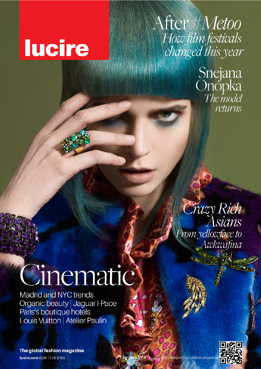## **lucire**

## After *#Metoo* How film festivals changed this year

Snejana<br>Onopka<br>The model returns

Crazy Rich<br>Asians From yellowface to Awkwafina

## inematic

**Madrid and NYC trends** Organic beauty | Jaguar I-Pace Paris's boutique hotels<br>Louis Vuitton | Atelier Paulin

The global fashion magazine lucire.com ISSN 1176-8169

39/2018 Autumn **S\$6-99 downl** 

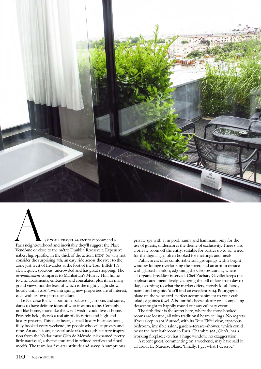

SK YOUR TRAVEL AGENT to recommend a<br>Paris neighbourhood and inevitably they'll suggest the Place<br>Vendôme or close to the métro Franklin Roosevelt. Expens Paris neighbourhood and inevitably they'll suggest the Place Vendôme or close to the métro Franklin Roosevelt. Expensive nabes, high-profile, in the thick of the action, BTDT. So why not consider the surprising 7th, an easy ride across the river to the zone just west of Invalides at the foot of the Tour Eiffel? It's clean, quiet, spacious, uncrowded and has great shopping. The *arrondissement* compares to Manhattan's Murray Hill, home to chic apartments, embassies and consulates, plus it has many grand views, not the least of which is the nightly light show, hourly until 1 A.M. Two intriguing new properties are of interest, each with its own particular allure.

Le Narcisse Blanc, a boutique palace of 37 rooms and suites, dares to have definite ideas of who it wants to be. Certainly not like home, more like the way I wish I could live at home. Privately held, there's a real air of discretion and high-end luxury present. This is, at heart, a small luxury business hotel, fully booked every weekend, by people who value privacy and time. An audacious, classical style takes its 19th-century inspiration from the Nadar muse Cléo de Mérode, nicknamed 'pretty little narcissus', a theme emulated in refined textiles and floral motifs. The team has five-star attitude and savvy. A sumptuous

private spa with 13 m pool, sauna and hammam, only for the use of guests, underscores the theme of exclusivity. There's also a private room off the entry, suitable for parties up to 10, wired for the digital age, often booked for meetings and meals.

Public areas offer comfortable sofa groupings with a bright window lounge overlooking the street, and an atrium terrace with glassed-in salon, adjoining the Cleo restaurant, where all-organic breakfast is served. Chef Zachary Gaviller keeps the sophisticated menu lively, changing the bill of fare from day to day, according to what the market offers, mostly local, biodynamic and organic. You'll find an excellent 2014 Bourgogne blanc on the wine card, perfect accompaniment to your crab salad or guinea fowl. A bountiful cheese platter or a compelling dessert ought to happily round out any culinary event.

The fifth floor is the secret here, where the most-booked rooms are located, all with traditional beam ceilings. No regrets if you sleep in 501 'Aurore', with its Tour Eiffel view, capacious bedroom, invisible salon, garden–terrace–shower, which could boast the best bathroom in Paris. Chambre 502, Cleo's, has a working fireplace; 503 has a huge window, no exaggeration.

A recent guest, commenting on a weekend, may have said it all about Le Narcisse Blanc, 'Finally, I get what I deserve.'